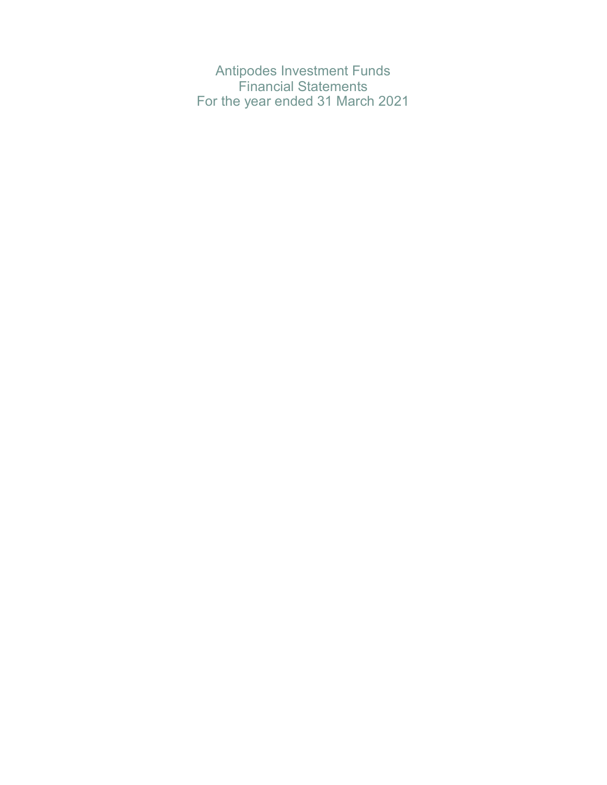Antipodes Investment Funds Financial Statements For the year ended 31 March 2021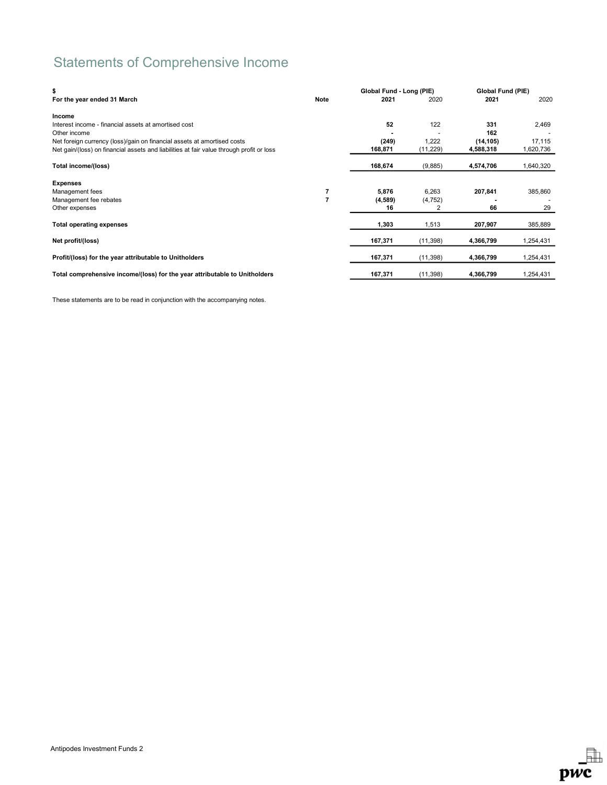# Statements of Comprehensive Income

| \$                                                                                       |      | Global Fund - Long (PIE) |           | Global Fund (PIE) |           |
|------------------------------------------------------------------------------------------|------|--------------------------|-----------|-------------------|-----------|
| For the year ended 31 March                                                              | Note | 2021                     | 2020      | 2021              | 2020      |
| Income                                                                                   |      |                          |           |                   |           |
| Interest income - financial assets at amortised cost                                     |      | 52                       | 122       | 331               | 2,469     |
| Other income                                                                             |      |                          |           | 162               |           |
| Net foreign currency (loss)/gain on financial assets at amortised costs                  |      | (249)                    | 1,222     | (14, 105)         | 17,115    |
| Net gain/(loss) on financial assets and liabilities at fair value through profit or loss |      | 168,871                  | (11, 229) | 4,588,318         | 1,620,736 |
| Total income/(loss)                                                                      |      | 168,674                  | (9,885)   | 4,574,706         | 1,640,320 |
| <b>Expenses</b>                                                                          |      |                          |           |                   |           |
| Management fees                                                                          |      | 5,876                    | 6,263     | 207,841           | 385,860   |
| Management fee rebates                                                                   |      | (4,589)                  | (4, 752)  |                   |           |
| Other expenses                                                                           |      | 16                       | 2         | 66                | 29        |
| <b>Total operating expenses</b>                                                          |      | 1,303                    | 1,513     | 207,907           | 385,889   |
| Net profit/(loss)                                                                        |      | 167,371                  | (11, 398) | 4,366,799         | 1,254,431 |
| Profit/(loss) for the year attributable to Unitholders                                   |      | 167,371                  | (11, 398) | 4,366,799         | 1,254,431 |
| Total comprehensive income/(loss) for the year attributable to Unitholders               |      | 167,371                  | (11, 398) | 4,366,799         | 1,254,431 |

These statements are to be read in conjunction with the accompanying notes.

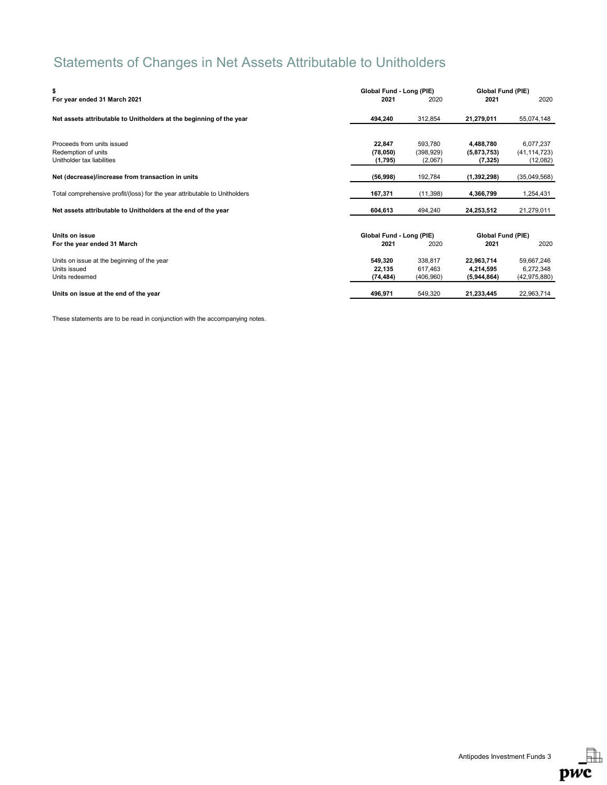# Statements of Changes in Net Assets Attributable to Unitholders

| \$                                                                         | Global Fund - Long (PIE) |            | Global Fund (PIE) |                |
|----------------------------------------------------------------------------|--------------------------|------------|-------------------|----------------|
| For year ended 31 March 2021                                               | 2021                     | 2020       | 2021              | 2020           |
| Net assets attributable to Unitholders at the beginning of the year        | 494,240                  | 312,854    | 21,279,011        | 55,074,148     |
|                                                                            |                          |            |                   |                |
| Proceeds from units issued                                                 | 22,847                   | 593,780    | 4,488,780         | 6,077,237      |
| Redemption of units                                                        | (78,050)                 | (398, 929) | (5,873,753)       | (41, 114, 723) |
| Unitholder tax liabilities                                                 | (1,795)                  | (2,067)    | (7, 325)          | (12,082)       |
| Net (decrease)/increase from transaction in units                          | (56,998)                 | 192,784    | (1,392,298)       | (35,049,568)   |
| Total comprehensive profit/(loss) for the year attributable to Unitholders | 167,371                  | (11, 398)  | 4,366,799         | 1,254,431      |
| Net assets attributable to Unitholders at the end of the year              | 604,613                  | 494,240    | 24,253,512        | 21,279,011     |
|                                                                            |                          |            |                   |                |
| Units on issue                                                             | Global Fund - Long (PIE) |            | Global Fund (PIE) |                |
| For the year ended 31 March                                                | 2021                     | 2020       | 2021              | 2020           |
| Units on issue at the beginning of the year                                | 549.320                  | 338.817    | 22.963.714        | 59,667,246     |
| Units issued                                                               | 22,135                   | 617,463    | 4,214,595         | 6,272,348      |
| Units redeemed                                                             | (74, 484)                | (406, 960) | (5,944,864)       | (42, 975, 880) |
| Units on issue at the end of the year                                      | 496,971                  | 549.320    | 21,233,445        | 22,963,714     |

These statements are to be read in conjunction with the accompanying notes.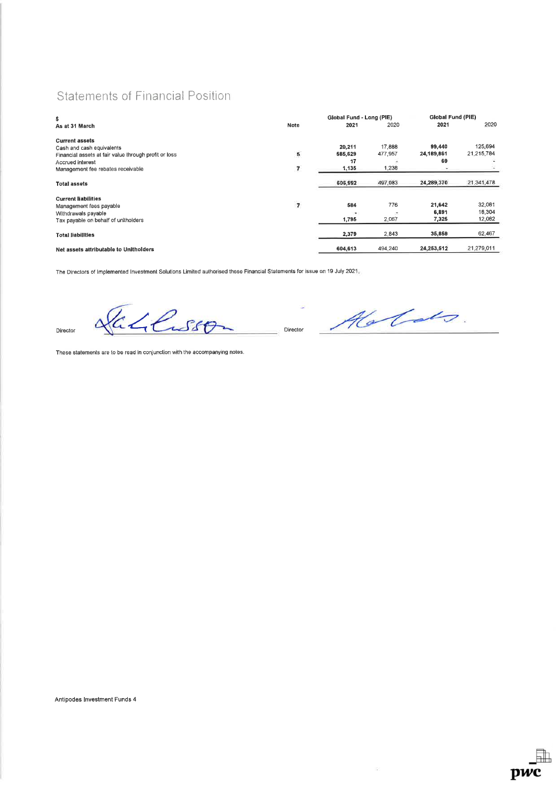# Statements of Financial Position

| \$                                                    |                         | Global Fund - Long (PIE) |         | <b>Global Fund (PIE)</b> |            |
|-------------------------------------------------------|-------------------------|--------------------------|---------|--------------------------|------------|
| As at 31 March                                        | Note                    | 2021                     | 2020    | 2021                     | 2020       |
| <b>Current assets</b>                                 |                         |                          |         |                          |            |
| Cash and cash equivalents                             |                         | 20,211                   | 17,888  | 99,440                   | 125,694    |
| Financial assets at fair value through profit or loss | 5                       | 565,629                  | 477,957 | 24.189.861               | 21,215,784 |
| Accrued interest                                      |                         | 17                       |         | 69                       |            |
| Management fee rebates receivable                     | $\pmb{7}$               | 1,135                    | 1,238   |                          |            |
| <b>Total assets</b>                                   |                         | 606,992                  | 497,083 | 24,289,370               | 21,341,478 |
| <b>Current liabilities</b>                            |                         |                          |         |                          |            |
| Management fees payable                               | $\overline{\mathbf{z}}$ | 584                      | 776     | 21,642                   | 32,081     |
| Withdrawals payable                                   |                         | ۰                        |         | 6,891                    | 18,304     |
| Tax payable on behalf of unitholders                  |                         | 1,795                    | 2,067   | 7,325                    | 12,082     |
| <b>Total liabilities</b>                              |                         | 2,379                    | 2,843   | 35,858                   | 62,467     |
| Net assets attributable to Unitholders                |                         | 604.613                  | 494.240 | 24.253.512               | 21.279.011 |

The Directors of Implemented Investment Solutions Limited authorised these Financial Statements for issue on 19 July 2021,

Director ACLSSO

 $\mathbb{R}^2$ 

DWC

These statements are to be read in conjunction with the accompanying noles.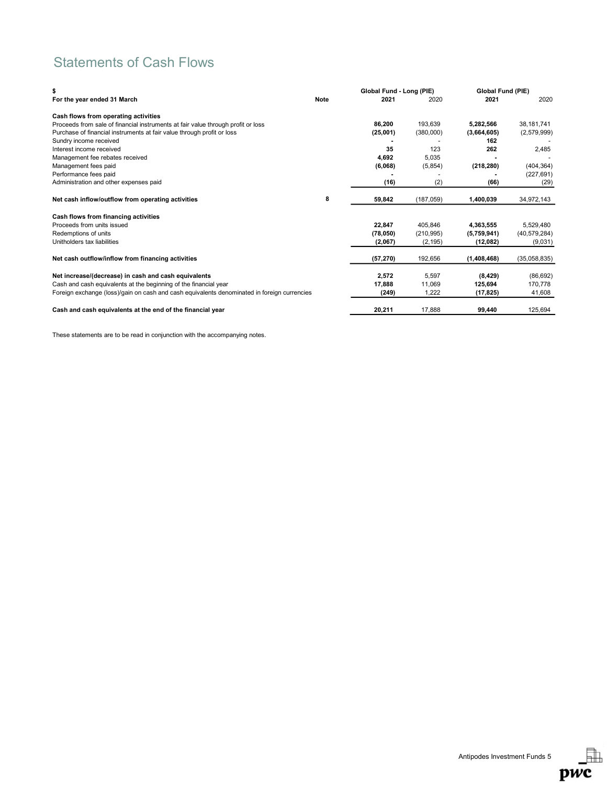# Statements of Cash Flows

| \$                                                                                          |             | Global Fund - Long (PIE) |            | Global Fund (PIE) |                |
|---------------------------------------------------------------------------------------------|-------------|--------------------------|------------|-------------------|----------------|
| For the year ended 31 March                                                                 | <b>Note</b> | 2021                     | 2020       | 2021              | 2020           |
| Cash flows from operating activities                                                        |             |                          |            |                   |                |
| Proceeds from sale of financial instruments at fair value through profit or loss            |             | 86,200                   | 193,639    | 5,282,566         | 38,181,741     |
| Purchase of financial instruments at fair value through profit or loss                      |             | (25,001)                 | (380,000)  | (3,664,605)       | (2,579,999)    |
| Sundry income received                                                                      |             |                          |            | 162               |                |
| Interest income received                                                                    |             | 35                       | 123        | 262               | 2,485          |
| Management fee rebates received                                                             |             | 4,692                    | 5,035      |                   |                |
| Management fees paid                                                                        |             | (6,068)                  | (5,854)    | (218, 280)        | (404, 364)     |
| Performance fees paid                                                                       |             |                          |            |                   | (227, 691)     |
| Administration and other expenses paid                                                      |             | (16)                     | (2)        | (66)              | (29)           |
| Net cash inflow/outflow from operating activities                                           | 8           | 59,842                   | (187,059)  | 1,400,039         | 34,972,143     |
| Cash flows from financing activities                                                        |             |                          |            |                   |                |
| Proceeds from units issued                                                                  |             | 22,847                   | 405.846    | 4.363.555         | 5,529,480      |
| Redemptions of units                                                                        |             | (78,050)                 | (210, 995) | (5,759,941)       | (40, 579, 284) |
| Unitholders tax liabilities                                                                 |             | (2,067)                  | (2, 195)   | (12,082)          | (9,031)        |
| Net cash outflow/inflow from financing activities                                           |             | (57, 270)                | 192,656    | (1,408,468)       | (35,058,835)   |
|                                                                                             |             |                          |            |                   |                |
| Net increase/(decrease) in cash and cash equivalents                                        |             | 2,572                    | 5,597      | (8, 429)          | (86, 692)      |
| Cash and cash equivalents at the beginning of the financial year                            |             | 17,888                   | 11,069     | 125,694           | 170,778        |
| Foreign exchange (loss)/gain on cash and cash equivalents denominated in foreign currencies |             | (249)                    | 1,222      | (17, 825)         | 41,608         |
| Cash and cash equivalents at the end of the financial year                                  |             | 20,211                   | 17.888     | 99,440            | 125,694        |

These statements are to be read in conjunction with the accompanying notes.

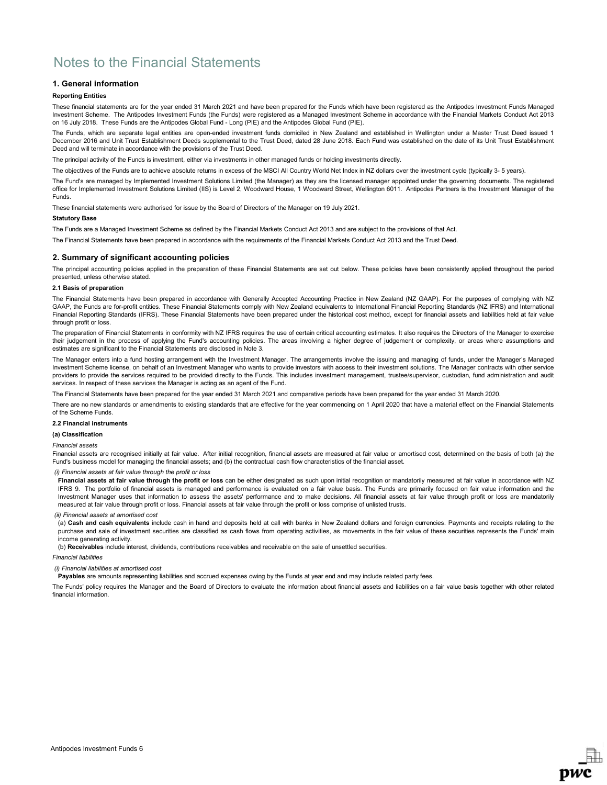## 1. General information

### Reporting Entities

These financial statements are for the year ended 31 March 2021 and have been prepared for the Funds which have been registered as the Antipodes Investment Funds Managed Investment Scheme. The Antipodes Investment Funds (the Funds) were registered as a Managed Investment Scheme in accordance with the Financial Markets Conduct Act 2013 on 16 July 2018. These Funds are the Antipodes Global Fund - Long (PIE) and the Antipodes Global Fund (PIE).

The Funds, which are separate legal entities are open-ended investment funds domiciled in New Zealand and established in Wellington under a Master Trust Deed issued 1 December 2016 and Unit Trust Establishment Deeds supplemental to the Trust Deed, dated 28 June 2018. Each Fund was established on the date of its Unit Trust Establishment Deed and will terminate in accordance with the provisions of the Trust Deed.

The principal activity of the Funds is investment, either via investments in other managed funds or holding investments directly.

The objectives of the Funds are to achieve absolute returns in excess of the MSCI All Country World Net Index in NZ dollars over the investment cycle (typically 3- 5 years).

The Fund's are managed by Implemented Investment Solutions Limited (the Manager) as they are the licensed manager appointed under the governing documents. The registered office for Implemented Investment Solutions Limited (IIS) is Level 2, Woodward House, 1 Woodward Street, Wellington 6011. Antipodes Partners is the Investment Manager of the Funds.

These financial statements were authorised for issue by the Board of Directors of the Manager on 19 July 2021.

#### Statutory Base

The Funds are a Managed Investment Scheme as defined by the Financial Markets Conduct Act 2013 and are subject to the provisions of that Act.

The Financial Statements have been prepared in accordance with the requirements of the Financial Markets Conduct Act 2013 and the Trust Deed.

### 2. Summary of significant accounting policies

The principal accounting policies applied in the preparation of these Financial Statements are set out below. These policies have been consistently applied throughout the period presented, unless otherwise stated.

#### 2.1 Basis of preparation

The Financial Statements have been prepared in accordance with Generally Accepted Accounting Practice in New Zealand (NZ GAAP). For the purposes of complying with NZ GAAP, the Funds are for-profit entities. These Financial Statements comply with New Zealand equivalents to International Financial Reporting Standards (NZ IFRS) and International Financial Reporting Standards (IFRS). These Financial Statements have been prepared under the historical cost method, except for financial assets and liabilities held at fair value through profit or loss.

The preparation of Financial Statements in conformity with NZ IFRS requires the use of certain critical accounting estimates. It also requires the Directors of the Manager to exercise their judgement in the process of applying the Fund's accounting policies. The areas involving a higher degree of judgement or complexity, or areas where assumptions and estimates are significant to the Financial Statements are disclosed in Note 3.

The Manager enters into a fund hosting arrangement with the Investment Manager. The arrangements involve the issuing and managing of funds, under the Manager's Managed Investment Scheme license, on behalf of an Investment Manager who wants to provide investors with access to their investment solutions. The Manager contracts with other service providers to provide the services required to be provided directly to the Funds. This includes investment management, trustee/supervisor, custodian, fund administration and audit services. In respect of these services the Manager is acting as an agent of the Fund.

The Financial Statements have been prepared for the year ended 31 March 2021 and comparative periods have been prepared for the year ended 31 March 2020.

There are no new standards or amendments to existing standards that are effective for the year commencing on 1 April 2020 that have a material effect on the Financial Statements of the Scheme Funds.

#### 2.2 Financial instruments

#### (a) Classification

#### Financial assets

Financial assets are recognised initially at fair value. After initial recognition, financial assets are measured at fair value or amortised cost, determined on the basis of both (a) the Fund's business model for managing the financial assets; and (b) the contractual cash flow characteristics of the financial asset.

#### (i) Financial assets at fair value through the profit or loss

Financial assets at fair value through the profit or loss can be either designated as such upon initial recognition or mandatorily measured at fair value in accordance with NZ IFRS 9. The portfolio of financial assets is managed and performance is evaluated on a fair value basis. The Funds are primarily focused on fair value information and the Investment Manager uses that information to assess the assets' performance and to make decisions. All financial assets at fair value through profit or loss are mandatorily measured at fair value through profit or loss. Financial assets at fair value through the profit or loss comprise of unlisted trusts.

(ii) Financial assets at amortised cost

(a) Cash and cash equivalents include cash in hand and deposits held at call with banks in New Zealand dollars and foreign currencies. Payments and receipts relating to the purchase and sale of investment securities are classified as cash flows from operating activities, as movements in the fair value of these securities represents the Funds' main income generating activity.

(b) Receivables include interest, dividends, contributions receivables and receivable on the sale of unsettled securities.

### Financial liabilities

### (i) Financial liabilities at amortised cost

Payables are amounts representing liabilities and accrued expenses owing by the Funds at year end and may include related party fees.

The Funds' policy requires the Manager and the Board of Directors to evaluate the information about financial assets and liabilities on a fair value basis together with other related financial information.

**DWC**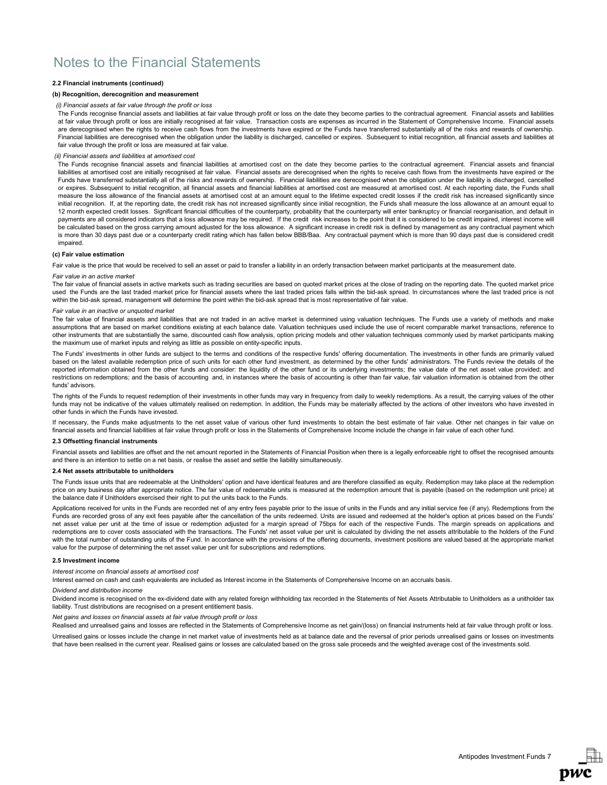## 2.2 Financial instruments (continued)

### (b) Recognition, derecognition and measurement

#### (i) Financial assets at fair value through the profit or loss

The Funds recognise financial assets and liabilities at fair value through profit or loss on the date they become parties to the contractual agreement. Financial assets and liabilities at fair value through profit or loss are initially recognised at fair value. Transaction costs are expenses as incurred in the Statement of Comprehensive Income. Financial assets are derecognised when the rights to receive cash flows from the investments have expired or the Funds have transferred substantially all of the risks and rewards of ownership. Financial liabilities are derecognised when the obligation under the liability is discharged, cancelled or expires. Subsequent to initial recognition, all financial assets and liabilities at fair value through the profit or loss are measured at fair value.

#### (ii) Financial assets and liabilities at amortised cost

The Funds recognise financial assets and financial liabilities at amortised cost on the date they become parties to the contractual agreement. Financial assets and financial liabilities at amortised cost are initially recognised at fair value. Financial assets are derecognised when the rights to receive cash flows from the investments have expired or the Funds have transferred substantially all of the risks and rewards of ownership. Financial liabilities are derecognised when the obligation under the liability is discharged, cancelled or expires. Subsequent to initial recognition, all financial assets and financial liabilities at amortised cost are measured at amortised cost. At each reporting date, the Funds shall measure the loss allowance of the financial assets at amortised cost at an amount equal to the lifetime expected credit losses if the credit risk has increased significantly since initial recognition. If, at the reporting date, the credit risk has not increased significantly since initial recognition, the Funds shall measure the loss allowance at an amount equal to 12 month expected credit losses. Significant financial difficulties of the counterparty, probability that the counterparty will enter bankruptcy or financial reorganisation, and default in payments are all considered indicators that a loss allowance may be required. If the credit risk increases to the point that it is considered to be credit impaired, interest income will be calculated based on the gross carrying amount adjusted for the loss allowance. A significant increase in credit risk is defined by management as any contractual payment which is more than 30 days past due or a counterparty credit rating which has fallen below BBB/Baa. Any contractual payment which is more than 90 days past due is considered credit impaired.

#### (c) Fair value estimation

Fair value is the price that would be received to sell an asset or paid to transfer a liability in an orderly transaction between market participants at the measurement date.

#### Fair value in an active market

The fair value of financial assets in active markets such as trading securities are based on quoted market prices at the close of trading on the reporting date. The quoted market price used the Funds are the last traded market price for financial assets where the last traded prices falls within the bid-ask spread. In circumstances where the last traded price is not within the bid-ask spread, management will determine the point within the bid-ask spread that is most representative of fair value.

#### Fair value in an inactive or unquoted market

The fair value of financial assets and liabilities that are not traded in an active market is determined using valuation techniques. The Funds use a variety of methods and make assumptions that are based on market conditions existing at each balance date. Valuation techniques used include the use of recent comparable market transactions, reference to other instruments that are substantially the same, discounted cash flow analysis, option pricing models and other valuation techniques commonly used by market participants making the maximum use of market inputs and relying as little as possible on entity-specific inputs.

The Funds' investments in other funds are subject to the terms and conditions of the respective funds' offering documentation. The investments in other funds are primarily valued based on the latest available redemption price of such units for each other fund investment, as determined by the other funds' administrators. The Funds review the details of the reported information obtained from the other funds and consider: the liquidity of the other fund or its underlying investments; the value date of the net asset value provided; and restrictions on redemptions; and the basis of accounting and, in instances where the basis of accounting is other than fair value, fair valuation information is obtained from the other funds' advisors.

The rights of the Funds to request redemption of their investments in other funds may vary in frequency from daily to weekly redemptions. As a result, the carrying values of the other funds may not be indicative of the values ultimately realised on redemption. In addition, the Funds may be materially affected by the actions of other investors who have invested in other funds in which the Funds have invested.

If necessary, the Funds make adjustments to the net asset value of various other fund investments to obtain the best estimate of fair value. Other net changes in fair value on financial assets and financial liabilities at fair value through profit or loss in the Statements of Comprehensive Income include the change in fair value of each other fund.

### 2.3 Offsetting financial instruments

Financial assets and liabilities are offset and the net amount reported in the Statements of Financial Position when there is a legally enforceable right to offset the recognised amounts and there is an intention to settle on a net basis, or realise the asset and settle the liability simultaneously.

#### 2.4 Net assets attributable to unitholders

The Funds issue units that are redeemable at the Unitholders' option and have identical features and are therefore classified as equity. Redemption may take place at the redemption price on any business day after appropriate notice. The fair value of redeemable units is measured at the redemption amount that is payable (based on the redemption unit price) at .<br>the balance date if Unitholders exercised their right to put the units back to the Funds.

Applications received for units in the Funds are recorded net of any entry fees payable prior to the issue of units in the Funds and any initial service fee (if any). Redemptions from the Funds are recorded gross of any exit fees payable after the cancellation of the units redeemed. Units are issued and redeemed at the holder's option at prices based on the Funds' net asset value per unit at the time of issue or redemption adjusted for a margin spread of 75bps for each of the respective Funds. The margin spreads on applications and redemptions are to cover costs associated with the transactions. The Funds' net asset value per unit is calculated by dividing the net assets attributable to the holders of the Fund with the total number of outstanding units of the Fund. In accordance with the provisions of the offering documents, investment positions are valued based at the appropriate market value for the purpose of determining the net asset value per unit for subscriptions and redemptions.

#### 2.5 Investment income

Interest income on financial assets at amortised cost

Interest earned on cash and cash equivalents are included as Interest income in the Statements of Comprehensive Income on an accruals basis.

#### Dividend and distribution income

Dividend income is recognised on the ex-dividend date with any related foreign withholding tax recorded in the Statements of Net Assets Attributable to Unitholders as a unitholder tax liability. Trust distributions are recognised on a present entitlement basis

### Net gains and losses on financial assets at fair value through profit or loss

Realised and unrealised gains and losses are reflected in the Statements of Comprehensive Income as net gain/(loss) on financial instruments held at fair value through profit or loss. Unrealised gains or losses include the change in net market value of investments held as at balance date and the reversal of prior periods unrealised gains or losses on investments

that have been realised in the current year. Realised gains or losses are calculated based on the gross sale proceeds and the weighted average cost of the investments sold.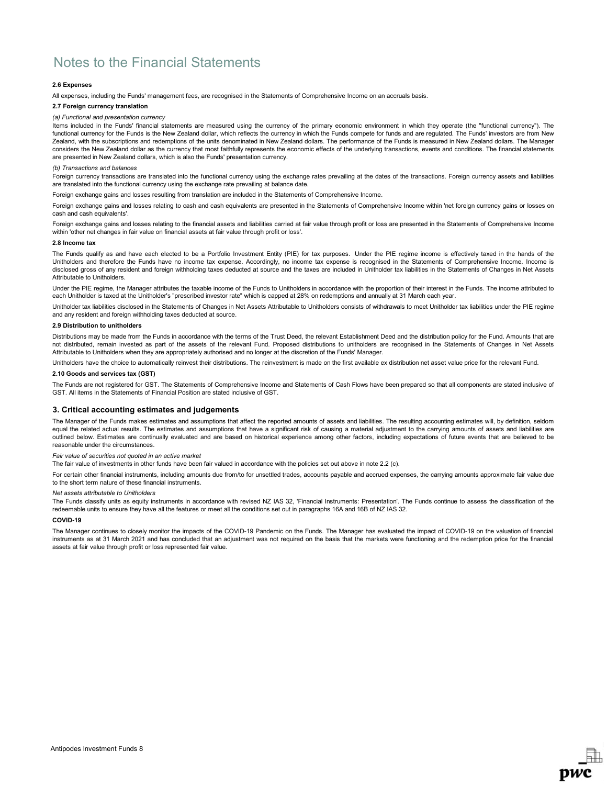## 2.6 Expenses

All expenses, including the Funds' management fees, are recognised in the Statements of Comprehensive Income on an accruals basis.

#### 2.7 Foreign currency translation

#### (a) Functional and presentation currency

Items included in the Funds' financial statements are measured using the currency of the primary economic environment in which they operate (the "functional currency"). The functional currency for the Funds is the New Zealand dollar, which reflects the currency in which the Funds compete for funds and are regulated. The Funds' investors are from New Zealand, with the subscriptions and redemptions of the units denominated in New Zealand dollars. The performance of the Funds is measured in New Zealand dollars. The Manager considers the New Zealand dollar as the currency that most faithfully represents the economic effects of the underlying transactions, events and conditions. The financial statements are presented in New Zealand dollars, which is also the Funds' presentation currency.

### (b) Transactions and balances

Foreign currency transactions are translated into the functional currency using the exchange rates prevailing at the dates of the transactions. Foreign currency assets and liabilities are translated into the functional currency using the exchange rate prevailing at balance date.

Foreign exchange gains and losses resulting from translation are included in the Statements of Comprehensive Income.

Foreign exchange gains and losses relating to cash and cash equivalents are presented in the Statements of Comprehensive Income within 'net foreign currency gains or losses on cash and cash equivalents'.

Foreign exchange gains and losses relating to the financial assets and liabilities carried at fair value through profit or loss are presented in the Statements of Comprehensive Income within 'other net changes in fair value on financial assets at fair value through profit or loss'.

### 2.8 Income tax

The Funds qualify as and have each elected to be a Portfolio Investment Entity (PIE) for tax purposes. Under the PIE regime income is effectively taxed in the hands of the Unitholders and therefore the Funds have no income tax expense. Accordingly, no income tax expense is recognised in the Statements of Comprehensive Income. Income is disclosed gross of any resident and foreign withholding taxes deducted at source and the taxes are included in Unitholder tax liabilities in the Statements of Changes in Net Assets Attributable to Unitholders.

Under the PIE regime, the Manager attributes the taxable income of the Funds to Unitholders in accordance with the proportion of their interest in the Funds. The income attributed to each Unitholder is taxed at the Unitholder's "prescribed investor rate" which is capped at 28% on redemptions and annually at 31 March each year.

Unitholder tax liabilities disclosed in the Statements of Changes in Net Assets Attributable to Unitholders consists of withdrawals to meet Unitholder tax liabilities under the PIE regime and any resident and foreign withholding taxes deducted at source.

# 2.9 Distribution to unitholders

Distributions may be made from the Funds in accordance with the terms of the Trust Deed, the relevant Establishment Deed and the distribution policy for the Fund. Amounts that are not distributed, remain invested as part of the assets of the relevant Fund. Proposed distributions to unitholders are recognised in the Statements of Changes in Net Assets Attributable to Unitholders when they are appropriately authorised and no longer at the discretion of the Funds' Manager.

Unitholders have the choice to automatically reinvest their distributions. The reinvestment is made on the first available ex distribution net asset value price for the relevant Fund.

### 2.10 Goods and services tax (GST)

The Funds are not registered for GST. The Statements of Comprehensive Income and Statements of Cash Flows have been prepared so that all components are stated inclusive of GST. All items in the Statements of Financial Position are stated inclusive of GST.

### 3. Critical accounting estimates and judgements

The Manager of the Funds makes estimates and assumptions that affect the reported amounts of assets and liabilities. The resulting accounting estimates will, by definition, seldom equal the related actual results. The estimates and assumptions that have a significant risk of causing a material adjustment to the carrying amounts of assets and liabilities are outlined below. Estimates are continually evaluated and are based on historical experience among other factors, including expectations of future events that are believed to be reasonable under the circumstances.

## Fair value of securities not quoted in an active market

The fair value of investments in other funds have been fair valued in accordance with the policies set out above in note 2.2 (c).

For certain other financial instruments, including amounts due from/to for unsettled trades, accounts payable and accrued expenses, the carrying amounts approximate fair value due to the short term nature of these financial instruments.

#### Net assets attributable to Unitholders

The Funds classify units as equity instruments in accordance with revised NZ IAS 32, 'Financial Instruments: Presentation'. The Funds continue to assess the classification of the redeemable units to ensure they have all the features or meet all the conditions set out in paragraphs 16A and 16B of NZ IAS 32.

#### COVID-19

The Manager continues to closely monitor the impacts of the COVID-19 Pandemic on the Funds. The Manager has evaluated the impact of COVID-19 on the valuation of financial instruments as at 31 March 2021 and has concluded that an adjustment was not required on the basis that the markets were functioning and the redemption price for the financial assets at fair value through profit or loss represented fair value.

**DWC**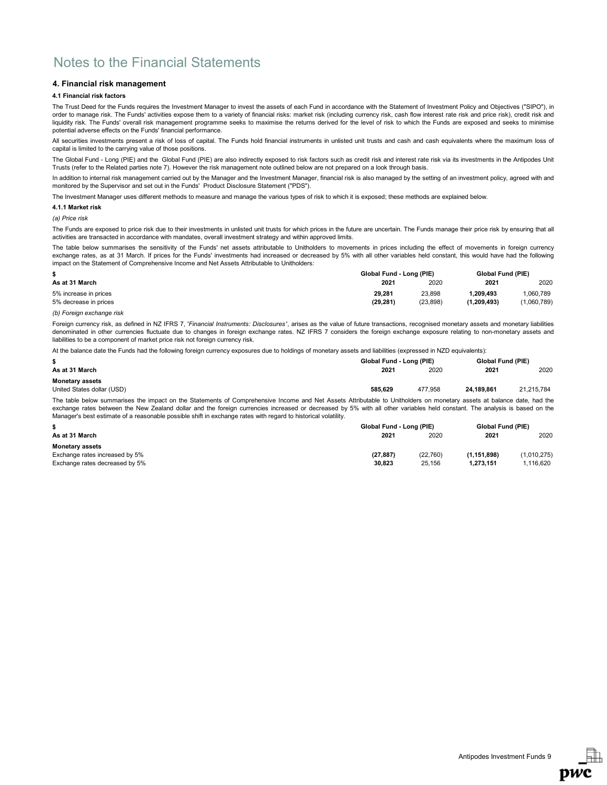## 4. Financial risk management

## 4.1 Financial risk factors

The Trust Deed for the Funds requires the Investment Manager to invest the assets of each Fund in accordance with the Statement of Investment Policy and Objectives ("SIPO"), in order to manage risk. The Funds' activities expose them to a variety of financial risks: market risk (including currency risk, cash flow interest rate risk and price risk), credit risk and liquidity risk. The Funds' overall risk management programme seeks to maximise the returns derived for the level of risk to which the Funds are exposed and seeks to minimise potential adverse effects on the Funds' financial performance.

All securities investments present a risk of loss of capital. The Funds hold financial instruments in unlisted unit trusts and cash and cash equivalents where the maximum loss of capital is limited to the carrying value of those positions.

The Global Fund - Long (PIE) and the Global Fund (PIE) are also indirectly exposed to risk factors such as credit risk and interest rate risk via its investments in the Antipodes Unit Trusts (refer to the Related parties note 7). However the risk management note outlined below are not prepared on a look through basis.

In addition to internal risk management carried out by the Manager and the Investment Manager, financial risk is also managed by the setting of an investment policy, agreed with and monitored by the Supervisor and set out in the Funds' Product Disclosure Statement ("PDS").

The Investment Manager uses different methods to measure and manage the various types of risk to which it is exposed; these methods are explained below.

### 4.1.1 Market risk

(a) Price risk

The Funds are exposed to price risk due to their investments in unlisted unit trusts for which prices in the future are uncertain. The Funds manage their price risk by ensuring that all activities are transacted in accordance with mandates, overall investment strategy and within approved limits.

The table below summarises the sensitivity of the Funds' net assets attributable to Unitholders to movements in prices including the effect of movements in foreign currency exchange rates, as at 31 March. If prices for the Funds' investments had increased or decreased by 5% with all other variables held constant, this would have had the following impact on the Statement of Comprehensive Income and Net Assets Attributable to Unitholders:

|                       | Global Fund - Long (PIE) |          |             | Global Fund (PIE) |  |
|-----------------------|--------------------------|----------|-------------|-------------------|--|
| As at 31 March        | 2021                     | 2020     | 2021        | 2020              |  |
| 5% increase in prices | 29.281                   | 23.898   | .209.493    | .060.789          |  |
| 5% decrease in prices | (29, 281)                | (23.898) | (1.209.493) | (1,060,789)       |  |

#### (b) Foreign exchange risk

Foreign currency risk, as defined in NZ IFRS 7, 'Financial Instruments: Disclosures', arises as the value of future transactions, recognised monetary assets and monetary liabilities denominated in other currencies fluctuate due to changes in foreign exchange rates. NZ IFRS 7 considers the foreign exchange exposure relating to non-monetary assets and liabilities to be a component of market price risk not foreign currency risk.

At the balance date the Funds had the following foreign currency exposures due to holdings of monetary assets and liabilities (expressed in NZD equivalents):

|                                                                                                                                                                       | Global Fund - Long (PIE) | Global Fund (PIE) |            |            |
|-----------------------------------------------------------------------------------------------------------------------------------------------------------------------|--------------------------|-------------------|------------|------------|
| As at 31 March                                                                                                                                                        | 2021                     | 2020              | 2021       | 2020       |
| <b>Monetary assets</b>                                                                                                                                                |                          |                   |            |            |
| United States dollar (USD)                                                                                                                                            | 585.629                  | 477.958           | 24.189.861 | 21.215.784 |
| The film below concerning the Second on the Officerate of Occupationals, Income and Net Accept Attachmental to Hallbary and provident capture of belonge data had the |                          |                   |            |            |

The table below summarises the impact on the Statements of Comprehensive Income and Net Assets Attributable to Unitholders on monetary assets at balance date, had the exchange rates between the New Zealand dollar and the foreign currencies increased or decreased by 5% with all other variables held constant. The analysis is based on the Manager's best estimate of a reasonable possible shift in exchange rates with regard to historical volatility.

|                                | Global Fund - Long (PIE) |          |             | <b>Global Fund (PIE)</b> |  |
|--------------------------------|--------------------------|----------|-------------|--------------------------|--|
| As at 31 March                 | 2021                     | 2020     | 2021        | 2020                     |  |
| <b>Monetary assets</b>         |                          |          |             |                          |  |
| Exchange rates increased by 5% | (27, 887)                | (22.760) | (1.151.898) | (1,010,275)              |  |
| Exchange rates decreased by 5% | 30.823                   | 25.156   | 1.273.151   | 1.116.620                |  |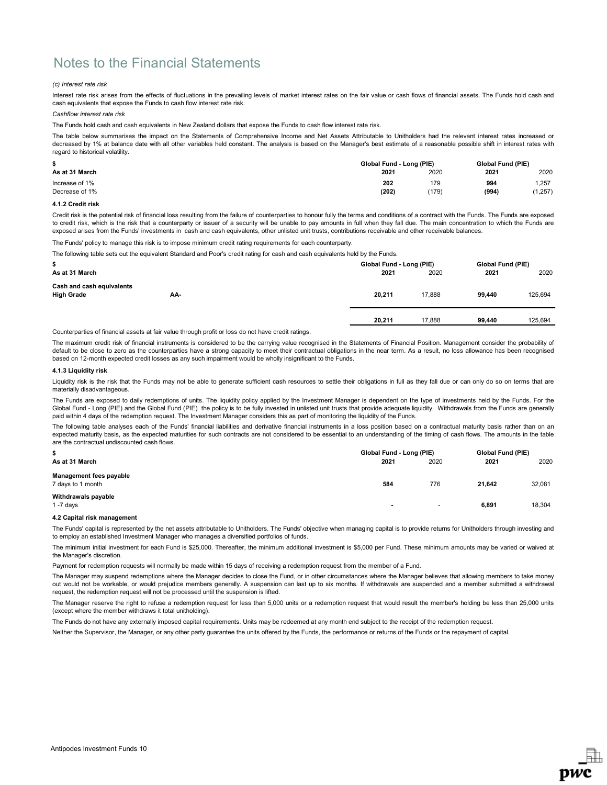## (c) Interest rate risk

Interest rate risk arises from the effects of fluctuations in the prevailing levels of market interest rates on the fair value or cash flows of financial assets. The Funds hold cash and cash equivalents that expose the Funds to cash flow interest rate risk.

## Cashflow interest rate risk

The Funds hold cash and cash equivalents in New Zealand dollars that expose the Funds to cash flow interest rate risk.

The table below summarises the impact on the Statements of Comprehensive Income and Net Assets Attributable to Unitholders had the relevant interest rates increased or decreased by 1% at balance date with all other variables held constant. The analysis is based on the Manager's best estimate of a reasonable possible shift in interest rates with regard to historical volatility.

|                | Global Fund - Long (PIE) |       |       | Global Fund (PIE) |  |
|----------------|--------------------------|-------|-------|-------------------|--|
| As at 31 March | 2021                     | 2020  | 2021  | 2020              |  |
| Increase of 1% | 202                      | 179   | 994   | .257              |  |
| Decrease of 1% | (202)                    | (179) | (994) | ,257)             |  |

## 4.1.2 Credit risk

Credit risk is the potential risk of financial loss resulting from the failure of counterparties to honour fully the terms and conditions of a contract with the Funds. The Funds are exposed to credit risk, which is the risk that a counterparty or issuer of a security will be unable to pay amounts in full when they fall due. The main concentration to which the Funds are exposed arises from the Funds' investments in cash and cash equivalents, other unlisted unit trusts, contributions receivable and other receivable balances.

The Funds' policy to manage this risk is to impose minimum credit rating requirements for each counterparty.

The following table sets out the equivalent Standard and Poor's credit rating for cash and cash equivalents held by the Funds.

| \$                                             |     | Global Fund - Long (PIE) | Global Fund (PIE) |        |        |         |
|------------------------------------------------|-----|--------------------------|-------------------|--------|--------|---------|
| As at 31 March                                 |     |                          | 2021              | 2020   | 2021   | 2020    |
| Cash and cash equivalents<br><b>High Grade</b> | AA- |                          | 20,211            | 17.888 | 99.440 | 125,694 |
|                                                |     |                          | 20,211            | 17.888 | 99.440 | 125.694 |

Counterparties of financial assets at fair value through profit or loss do not have credit ratings.

The maximum credit risk of financial instruments is considered to be the carrying value recognised in the Statements of Financial Position. Management consider the probability of default to be close to zero as the counterparties have a strong capacity to meet their contractual obligations in the near term. As a result, no loss allowance has been recognised based on 12-month expected credit losses as any such impairment would be wholly insignificant to the Funds.

#### 4.1.3 Liquidity risk

Liquidity risk is the risk that the Funds may not be able to generate sufficient cash resources to settle their obligations in full as they fall due or can only do so on terms that are materially disadvantageous.

The Funds are exposed to daily redemptions of units. The liquidity policy applied by the Investment Manager is dependent on the type of investments held by the Funds. For the Global Fund - Long (PIE) and the Global Fund (PIE) the policy is to be fully invested in unlisted unit trusts that provide adequate liquidity. Withdrawals from the Funds are generally paid within 4 days of the redemption request. The Investment Manager considers this as part of monitoring the liquidity of the Funds.

The following table analyses each of the Funds' financial liabilities and derivative financial instruments in a loss position based on a contractual maturity basis rather than on an expected maturity basis, as the expected maturities for such contracts are not considered to be essential to an understanding of the timing of cash flows. The amounts in the table are the contractual undiscounted cash flows.

| \$                                                  | Global Fund - Long (PIE) |                          |        | Global Fund (PIE) |  |
|-----------------------------------------------------|--------------------------|--------------------------|--------|-------------------|--|
| As at 31 March                                      | 2021                     | 2020                     | 2021   | 2020              |  |
| <b>Management fees payable</b><br>7 days to 1 month | 584                      | 776                      | 21.642 | 32,081            |  |
| Withdrawals payable<br>$1 - 7$ days                 | $\sim$                   | $\overline{\phantom{a}}$ | 6,891  | 18,304            |  |

### 4.2 Capital risk management

The Funds' capital is represented by the net assets attributable to Unitholders. The Funds' objective when managing capital is to provide returns for Unitholders through investing and to employ an established Investment Manager who manages a diversified portfolios of funds.

The minimum initial investment for each Fund is \$25,000. Thereafter, the minimum additional investment is \$5,000 per Fund. These minimum amounts may be varied or waived at the Manager's discretion.

Payment for redemption requests will normally be made within 15 days of receiving a redemption request from the member of a Fund.

The Manager may suspend redemptions where the Manager decides to close the Fund, or in other circumstances where the Manager believes that allowing members to take money out would not be workable, or would prejudice members generally. A suspension can last up to six months. If withdrawals are suspended and a member submitted a withdrawal request, the redemption request will not be processed until the suspension is lifted.

The Manager reserve the right to refuse a redemption request for less than 5,000 units or a redemption request that would result the member's holding be less than 25,000 units (except where the member withdraws it total unitholding).

The Funds do not have any externally imposed capital requirements. Units may be redeemed at any month end subject to the receipt of the redemption request.

Neither the Supervisor, the Manager, or any other party guarantee the units offered by the Funds, the performance or returns of the Funds or the repayment of capital.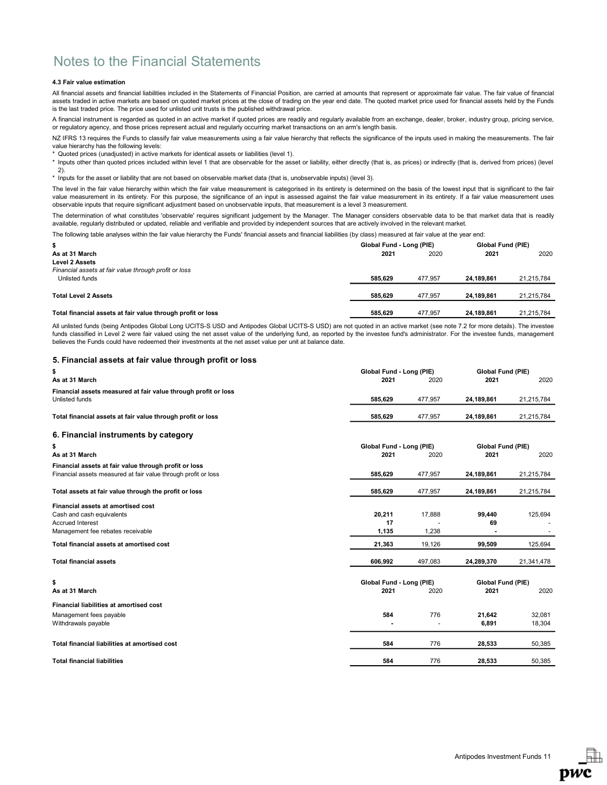## 4.3 Fair value estimation

All financial assets and financial liabilities included in the Statements of Financial Position, are carried at amounts that represent or approximate fair value. The fair value of financial assets traded in active markets are based on quoted market prices at the close of trading on the year end date. The quoted market price used for financial assets held by the Funds is the last traded price. The price used for unlisted unit trusts is the published withdrawal price.

A financial instrument is regarded as quoted in an active market if quoted prices are readily and regularly available from an exchange, dealer, broker, industry group, pricing service, or regulatory agency, and those prices represent actual and regularly occurring market transactions on an arm's length basis.

NZ IFRS 13 requires the Funds to classify fair value measurements using a fair value hierarchy that reflects the significance of the inputs used in making the measurements. The fair value hierarchy has the following levels:

\* Quoted prices (unadjusted) in active markets for identical assets or liabilities (level 1).

\* Inputs other than quoted prices included within level 1 that are observable for the asset or liability, either directly (that is, as prices) or indirectly (that is, derived from prices) (level 2).

\* Inputs for the asset or liability that are not based on observable market data (that is, unobservable inputs) (level 3).

The level in the fair value hierarchy within which the fair value measurement is categorised in its entirety is determined on the basis of the lowest input that is significant to the fair value measurement in its entirety. For this purpose, the significance of an input is assessed against the fair value measurement in its entirety. If a fair value measurement uses observable inputs that require significant adjustment based on unobservable inputs, that measurement is a level 3 measurement.

The determination of what constitutes 'observable' requires significant judgement by the Manager. The Manager considers observable data to be that market data that is readily available, regularly distributed or updated, reliable and verifiable and provided by independent sources that are actively involved in the relevant market.

The following table analyses within the fair value hierarchy the Funds' financial assets and financial liabilities (by class) measured at fair value at the year end:

| \$                                                          | Global Fund - Long (PIE) |         | Global Fund (PIE) |            |
|-------------------------------------------------------------|--------------------------|---------|-------------------|------------|
| As at 31 March                                              | 2021                     | 2020    | 2021              | 2020       |
| <b>Level 2 Assets</b>                                       |                          |         |                   |            |
| Financial assets at fair value through profit or loss       |                          |         |                   |            |
| Unlisted funds                                              | 585.629                  | 477.957 | 24.189.861        | 21.215.784 |
|                                                             |                          |         |                   |            |
| <b>Total Level 2 Assets</b>                                 | 585.629                  | 477.957 | 24.189.861        | 21.215.784 |
|                                                             |                          |         |                   |            |
| Total financial assets at fair value through profit or loss | 585.629                  | 477.957 | 24.189.861        | 21.215.784 |

All unlisted funds (being Antipodes Global Long UCITS-S USD and Antipodes Global UCITS-S USD) are not quoted in an active market (see note 7.2 for more details). The investee funds classified in Level 2 were fair valued using the net asset value of the underlying fund, as reported by the investee fund's administrator. For the investee funds, management believes the Funds could have redeemed their investments at the net asset value per unit at balance date.

## 5. Financial assets at fair value through profit or loss

| \$                                                             |                          | Global Fund - Long (PIE) |                   | Global Fund (PIE) |  |
|----------------------------------------------------------------|--------------------------|--------------------------|-------------------|-------------------|--|
| As at 31 March                                                 | 2021                     | 2020                     | 2021              | 2020              |  |
| Financial assets measured at fair value through profit or loss |                          |                          |                   |                   |  |
| Unlisted funds                                                 | 585,629                  | 477,957                  | 24,189,861        | 21,215,784        |  |
| Total financial assets at fair value through profit or loss    | 585,629                  | 477,957                  | 24,189,861        | 21,215,784        |  |
| 6. Financial instruments by category                           |                          |                          |                   |                   |  |
| \$                                                             | Global Fund - Long (PIE) |                          | Global Fund (PIE) |                   |  |
| As at 31 March                                                 | 2021                     | 2020                     | 2021              | 2020              |  |
| Financial assets at fair value through profit or loss          |                          |                          |                   |                   |  |
| Financial assets measured at fair value through profit or loss | 585,629                  | 477,957                  | 24,189,861        | 21,215,784        |  |
| Total assets at fair value through the profit or loss          | 585,629                  | 477,957                  | 24,189,861        | 21,215,784        |  |
| Financial assets at amortised cost                             |                          |                          |                   |                   |  |
| Cash and cash equivalents                                      | 20,211                   | 17.888                   | 99,440            | 125,694           |  |
| <b>Accrued Interest</b>                                        | 17                       |                          | 69                |                   |  |
| Management fee rebates receivable                              | 1,135                    | 1,238                    |                   |                   |  |
| Total financial assets at amortised cost                       | 21,363                   | 19,126                   | 99,509            | 125,694           |  |
| <b>Total financial assets</b>                                  | 606,992                  | 497,083                  | 24,289,370        | 21,341,478        |  |
| \$                                                             | Global Fund - Long (PIE) |                          | Global Fund (PIE) |                   |  |
| As at 31 March                                                 | 2021                     | 2020                     | 2021              | 2020              |  |
| <b>Financial liabilities at amortised cost</b>                 |                          |                          |                   |                   |  |
| Management fees payable                                        | 584                      | 776                      | 21,642            | 32,081            |  |
| Withdrawals payable                                            | $\blacksquare$           |                          | 6,891             | 18,304            |  |
| Total financial liabilities at amortised cost                  | 584                      | 776                      | 28,533            | 50,385            |  |
| <b>Total financial liabilities</b>                             | 584                      | 776                      | 28,533            | 50,385            |  |
|                                                                |                          |                          |                   |                   |  |



**DWC**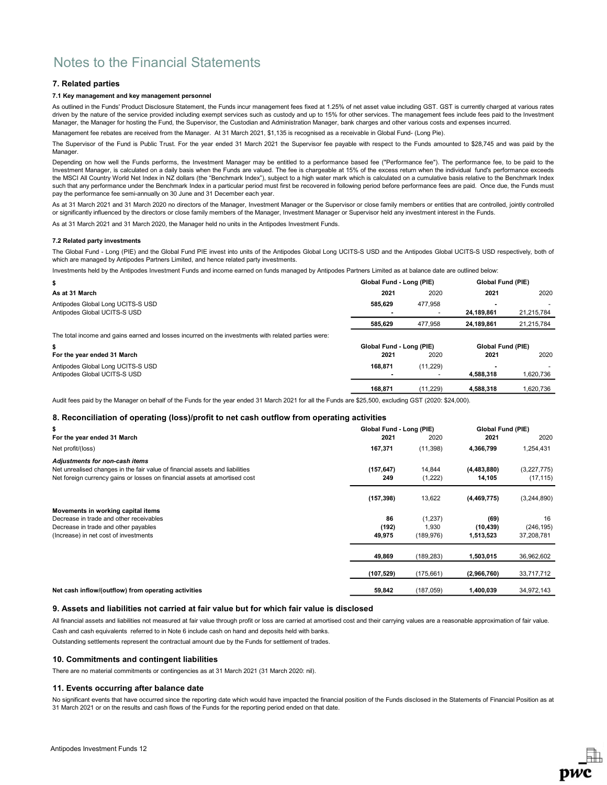## 7. Related parties

### 7.1 Key management and key management personnel

As outlined in the Funds' Product Disclosure Statement, the Funds incur management fees fixed at 1.25% of net asset value including GST. GST is currently charged at various rates driven by the nature of the service provided including exempt services such as custody and up to 15% for other services. The management fees include fees paid to the Investment Manager, the Manager for hosting the Fund, the Supervisor, the Custodian and Administration Manager, bank charges and other various costs and expenses incurred.

Management fee rebates are received from the Manager. At 31 March 2021, \$1,135 is recognised as a receivable in Global Fund- (Long Pie).

The Supervisor of the Fund is Public Trust. For the year ended 31 March 2021 the Supervisor fee payable with respect to the Funds amounted to \$28,745 and was paid by the Manager.

Depending on how well the Funds performs, the Investment Manager may be entitled to a performance based fee ("Performance fee"). The performance fee, to be paid to the Investment Manager, is calculated on a daily basis when the Funds are valued. The fee is chargeable at 15% of the excess return when the individual fund's performance exceeds the MSCI All Country World Net Index in NZ dollars (the "Benchmark Index"), subject to a high water mark which is calculated on a cumulative basis relative to the Benchmark Index such that any performance under the Benchmark Index in a particular period must first be recovered in following period before performance fees are paid. Once due, the Funds must pay the performance fee semi-annually on 30 June and 31 December each year.

As at 31 March 2021 and 31 March 2020 no directors of the Manager, Investment Manager or the Supervisor or close family members or entities that are controlled, jointly controlled or significantly influenced by the directors or close family members of the Manager, Investment Manager or Supervisor held any investment interest in the Funds.

As at 31 March 2021 and 31 March 2020, the Manager held no units in the Antipodes Investment Funds.

### 7.2 Related party investments

The Global Fund - Long (PIE) and the Global Fund PIE invest into units of the Antipodes Global Long UCITS-S USD and the Antipodes Global UCITS-S USD respectively, both of which are managed by Antipodes Partners Limited, and hence related party investments.

Investments held by the Antipodes Investment Funds and income earned on funds managed by Antipodes Partners Limited as at balance date are outlined below:

| \$                                                                                                  | Global Fund - Long (PIE)<br><b>Global Fund (PIE)</b> |           |            |            |
|-----------------------------------------------------------------------------------------------------|------------------------------------------------------|-----------|------------|------------|
| As at 31 March                                                                                      | 2021                                                 | 2020      | 2021       | 2020       |
| Antipodes Global Long UCITS-S USD                                                                   | 585.629                                              | 477.958   |            |            |
| Antipodes Global UCITS-S USD                                                                        |                                                      |           | 24.189.861 | 21,215,784 |
|                                                                                                     | 585.629                                              | 477.958   | 24.189.861 | 21,215,784 |
| The total income and gains earned and losses incurred on the investments with related parties were: |                                                      |           |            |            |
| \$                                                                                                  | Global Fund - Long (PIE)<br><b>Global Fund (PIE)</b> |           |            |            |
| For the year ended 31 March                                                                         | 2021                                                 | 2020      | 2021       | 2020       |
| Antipodes Global Long UCITS-S USD                                                                   | 168.871                                              | (11, 229) |            |            |
| Antipodes Global UCITS-S USD                                                                        |                                                      |           | 4,588,318  | 1,620,736  |
|                                                                                                     | 168.871                                              | (11.229)  | 4.588.318  | 1.620.736  |

Audit fees paid by the Manager on behalf of the Funds for the year ended 31 March 2021 for all the Funds are \$25,500, excluding GST (2020: \$24,000).

## 8. Reconciliation of operating (loss)/profit to net cash outflow from operating activities

| \$                                                                                                                                                                                           | Global Fund - Long (PIE) |                   | Global Fund (PIE)       |                          |
|----------------------------------------------------------------------------------------------------------------------------------------------------------------------------------------------|--------------------------|-------------------|-------------------------|--------------------------|
| For the year ended 31 March                                                                                                                                                                  | 2021                     | 2020              | 2021                    | 2020                     |
| Net profit/(loss)                                                                                                                                                                            | 167,371                  | (11, 398)         | 4,366,799               | 1,254,431                |
| Adjustments for non-cash items<br>Net unrealised changes in the fair value of financial assets and liabilities<br>Net foreign currency gains or losses on financial assets at amortised cost | (157, 647)<br>249        | 14,844<br>(1,222) | (4, 483, 880)<br>14,105 | (3,227,775)<br>(17, 115) |
|                                                                                                                                                                                              | (157, 398)               | 13,622            | (4,469,775)             | (3,244,890)              |
| Movements in working capital items                                                                                                                                                           |                          |                   |                         |                          |
| Decrease in trade and other receivables                                                                                                                                                      | 86                       | (1,237)           | (69)                    | 16                       |
| Decrease in trade and other payables                                                                                                                                                         | (192)                    | 1,930             | (10, 439)               | (246, 195)               |
| (Increase) in net cost of investments                                                                                                                                                        | 49,975                   | (189, 976)        | 1,513,523               | 37,208,781               |
|                                                                                                                                                                                              | 49,869                   | (189, 283)        | 1,503,015               | 36,962,602               |
|                                                                                                                                                                                              | (107, 529)               | (175, 661)        | (2,966,760)             | 33,717,712               |
| Net cash inflow/(outflow) from operating activities                                                                                                                                          | 59,842                   | (187, 059)        | 1,400,039               | 34,972,143               |

### 9. Assets and liabilities not carried at fair value but for which fair value is disclosed

All financial assets and liabilities not measured at fair value through profit or loss are carried at amortised cost and their carrying values are a reasonable approximation of fair value. Cash and cash equivalents referred to in Note 6 include cash on hand and deposits held with banks.

Outstanding settlements represent the contractual amount due by the Funds for settlement of trades.

## 10. Commitments and contingent liabilities

There are no material commitments or contingencies as at 31 March 2021 (31 March 2020: nil).

## 11. Events occurring after balance date

No significant events that have occurred since the reporting date which would have impacted the financial position of the Funds disclosed in the Statements of Financial Position as at 31 March 2021 or on the results and cash flows of the Funds for the reporting period ended on that date.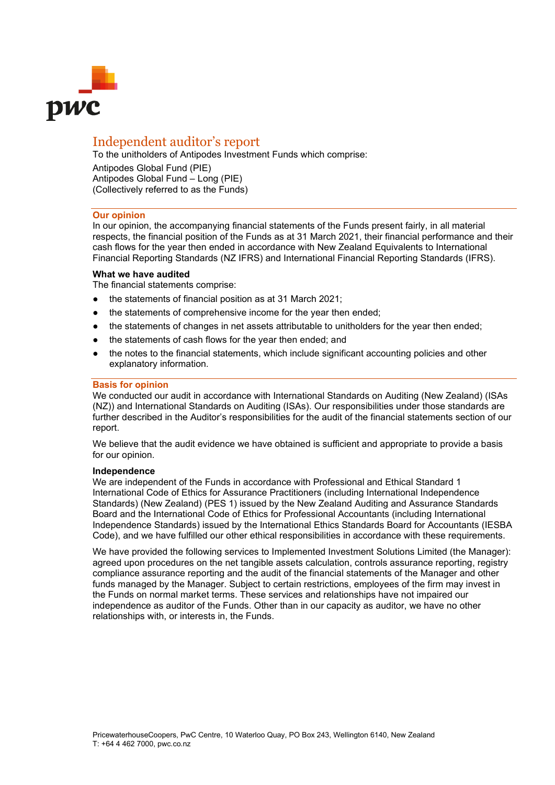

# Independent auditor's report

To the unitholders of Antipodes Investment Funds which comprise: Antipodes Global Fund (PIE) Antipodes Global Fund – Long (PIE) (Collectively referred to as the Funds)

# **Our opinion**

In our opinion, the accompanying financial statements of the Funds present fairly, in all material respects, the financial position of the Funds as at 31 March 2021, their financial performance and their cash flows for the year then ended in accordance with New Zealand Equivalents to International Financial Reporting Standards (NZ IFRS) and International Financial Reporting Standards (IFRS).

# **What we have audited**

The financial statements comprise:

- the statements of financial position as at 31 March 2021;
- the statements of comprehensive income for the year then ended;
- the statements of changes in net assets attributable to unitholders for the year then ended;
- the statements of cash flows for the year then ended; and
- the notes to the financial statements, which include significant accounting policies and other explanatory information.

# **Basis for opinion**

We conducted our audit in accordance with International Standards on Auditing (New Zealand) (ISAs (NZ)) and International Standards on Auditing (ISAs). Our responsibilities under those standards are further described in the Auditor's responsibilities for the audit of the financial statements section of our report.

We believe that the audit evidence we have obtained is sufficient and appropriate to provide a basis for our opinion.

# **Independence**

We are independent of the Funds in accordance with Professional and Ethical Standard 1 International Code of Ethics for Assurance Practitioners (including International Independence Standards) (New Zealand) (PES 1) issued by the New Zealand Auditing and Assurance Standards Board and the International Code of Ethics for Professional Accountants (including International Independence Standards) issued by the International Ethics Standards Board for Accountants (IESBA Code), and we have fulfilled our other ethical responsibilities in accordance with these requirements.

We have provided the following services to Implemented Investment Solutions Limited (the Manager): agreed upon procedures on the net tangible assets calculation, controls assurance reporting, registry compliance assurance reporting and the audit of the financial statements of the Manager and other funds managed by the Manager. Subject to certain restrictions, employees of the firm may invest in the Funds on normal market terms. These services and relationships have not impaired our independence as auditor of the Funds. Other than in our capacity as auditor, we have no other relationships with, or interests in, the Funds.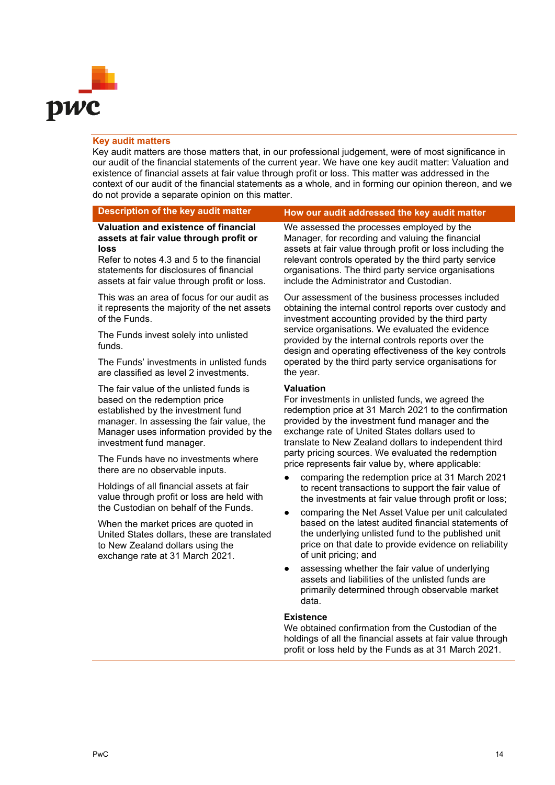

# **Key audit matters**

Key audit matters are those matters that, in our professional judgement, were of most significance in our audit of the financial statements of the current year. We have one key audit matter: Valuation and existence of financial assets at fair value through profit or loss. This matter was addressed in the context of our audit of the financial statements as a whole, and in forming our opinion thereon, and we do not provide a separate opinion on this matter.

# **Description of the key audit matter How our audit addressed the key audit matter**

**Valuation and existence of financial assets at fair value through profit or loss**

Refer to notes 4.3 and 5 to the financial statements for disclosures of financial assets at fair value through profit or loss.

This was an area of focus for our audit as it represents the majority of the net assets of the Funds.

The Funds invest solely into unlisted funds.

The Funds' investments in unlisted funds are classified as level 2 investments.

The fair value of the unlisted funds is based on the redemption price established by the investment fund manager. In assessing the fair value, the Manager uses information provided by the investment fund manager.

The Funds have no investments where there are no observable inputs.

Holdings of all financial assets at fair value through profit or loss are held with the Custodian on behalf of the Funds.

When the market prices are quoted in United States dollars, these are translated to New Zealand dollars using the exchange rate at 31 March 2021.

We assessed the processes employed by the Manager, for recording and valuing the financial assets at fair value through profit or loss including the relevant controls operated by the third party service organisations. The third party service organisations include the Administrator and Custodian.

Our assessment of the business processes included obtaining the internal control reports over custody and investment accounting provided by the third party service organisations. We evaluated the evidence provided by the internal controls reports over the design and operating effectiveness of the key controls operated by the third party service organisations for the year.

# **Valuation**

For investments in unlisted funds, we agreed the redemption price at 31 March 2021 to the confirmation provided by the investment fund manager and the exchange rate of United States dollars used to translate to New Zealand dollars to independent third party pricing sources. We evaluated the redemption price represents fair value by, where applicable:

- comparing the redemption price at 31 March 2021 to recent transactions to support the fair value of the investments at fair value through profit or loss;
- comparing the Net Asset Value per unit calculated based on the latest audited financial statements of the underlying unlisted fund to the published unit price on that date to provide evidence on reliability of unit pricing; and
- assessing whether the fair value of underlying assets and liabilities of the unlisted funds are primarily determined through observable market data.

# **Existence**

We obtained confirmation from the Custodian of the holdings of all the financial assets at fair value through profit or loss held by the Funds as at 31 March 2021.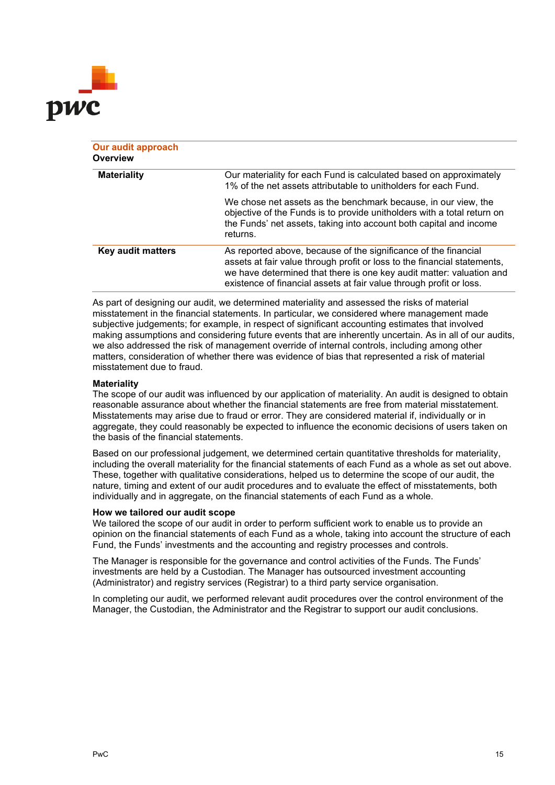

| Our audit approach<br>Overview |                                                                                                                                                                                                                                                                                            |
|--------------------------------|--------------------------------------------------------------------------------------------------------------------------------------------------------------------------------------------------------------------------------------------------------------------------------------------|
| <b>Materiality</b>             | Our materiality for each Fund is calculated based on approximately<br>1% of the net assets attributable to unitholders for each Fund.                                                                                                                                                      |
|                                | We chose net assets as the benchmark because, in our view, the<br>objective of the Funds is to provide unitholders with a total return on<br>the Funds' net assets, taking into account both capital and income<br>returns.                                                                |
| Key audit matters              | As reported above, because of the significance of the financial<br>assets at fair value through profit or loss to the financial statements,<br>we have determined that there is one key audit matter: valuation and<br>existence of financial assets at fair value through profit or loss. |

As part of designing our audit, we determined materiality and assessed the risks of material misstatement in the financial statements. In particular, we considered where management made subjective judgements; for example, in respect of significant accounting estimates that involved making assumptions and considering future events that are inherently uncertain. As in all of our audits, we also addressed the risk of management override of internal controls, including among other matters, consideration of whether there was evidence of bias that represented a risk of material misstatement due to fraud.

# **Materiality**

The scope of our audit was influenced by our application of materiality. An audit is designed to obtain reasonable assurance about whether the financial statements are free from material misstatement. Misstatements may arise due to fraud or error. They are considered material if, individually or in aggregate, they could reasonably be expected to influence the economic decisions of users taken on the basis of the financial statements.

Based on our professional judgement, we determined certain quantitative thresholds for materiality, including the overall materiality for the financial statements of each Fund as a whole as set out above. These, together with qualitative considerations, helped us to determine the scope of our audit, the nature, timing and extent of our audit procedures and to evaluate the effect of misstatements, both individually and in aggregate, on the financial statements of each Fund as a whole.

# **How we tailored our audit scope**

We tailored the scope of our audit in order to perform sufficient work to enable us to provide an opinion on the financial statements of each Fund as a whole, taking into account the structure of each Fund, the Funds' investments and the accounting and registry processes and controls.

The Manager is responsible for the governance and control activities of the Funds. The Funds' investments are held by a Custodian. The Manager has outsourced investment accounting (Administrator) and registry services (Registrar) to a third party service organisation.

In completing our audit, we performed relevant audit procedures over the control environment of the Manager, the Custodian, the Administrator and the Registrar to support our audit conclusions.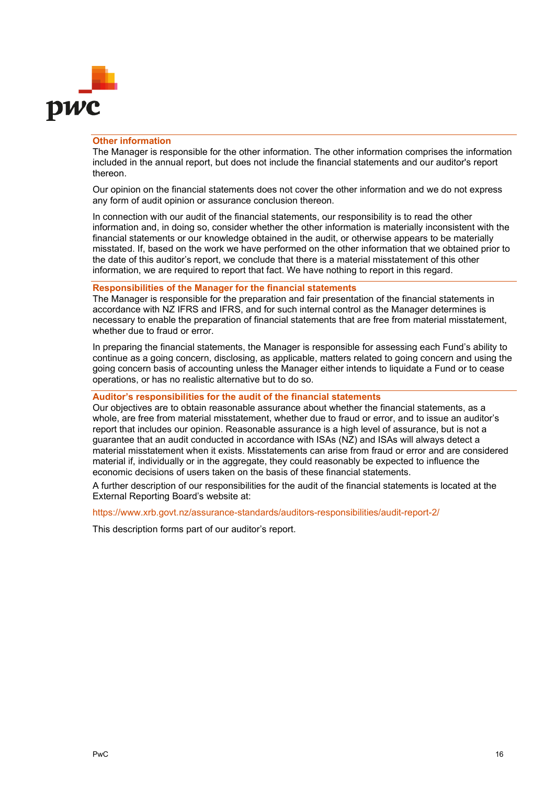

# **Other information**

The Manager is responsible for the other information. The other information comprises the information included in the annual report, but does not include the financial statements and our auditor's report thereon.

Our opinion on the financial statements does not cover the other information and we do not express any form of audit opinion or assurance conclusion thereon.

In connection with our audit of the financial statements, our responsibility is to read the other information and, in doing so, consider whether the other information is materially inconsistent with the financial statements or our knowledge obtained in the audit, or otherwise appears to be materially misstated. If, based on the work we have performed on the other information that we obtained prior to the date of this auditor's report, we conclude that there is a material misstatement of this other information, we are required to report that fact. We have nothing to report in this regard.

# **Responsibilities of the Manager for the financial statements**

The Manager is responsible for the preparation and fair presentation of the financial statements in accordance with NZ IFRS and IFRS, and for such internal control as the Manager determines is necessary to enable the preparation of financial statements that are free from material misstatement, whether due to fraud or error.

In preparing the financial statements, the Manager is responsible for assessing each Fund's ability to continue as a going concern, disclosing, as applicable, matters related to going concern and using the going concern basis of accounting unless the Manager either intends to liquidate a Fund or to cease operations, or has no realistic alternative but to do so.

# **Auditor's responsibilities for the audit of the financial statements**

Our objectives are to obtain reasonable assurance about whether the financial statements, as a whole, are free from material misstatement, whether due to fraud or error, and to issue an auditor's report that includes our opinion. Reasonable assurance is a high level of assurance, but is not a guarantee that an audit conducted in accordance with ISAs (NZ) and ISAs will always detect a material misstatement when it exists. Misstatements can arise from fraud or error and are considered material if, individually or in the aggregate, they could reasonably be expected to influence the economic decisions of users taken on the basis of these financial statements.

A further description of our responsibilities for the audit of the financial statements is located at the External Reporting Board's website at:

# https://www.xrb.govt.nz/assurance-standards/auditors-responsibilities/audit-report-2/

This description forms part of our auditor's report.